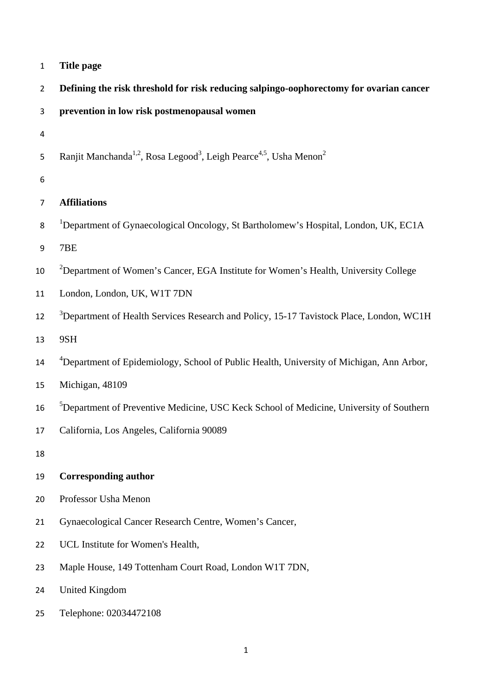|  | Title page |  |
|--|------------|--|
|--|------------|--|

| $\overline{2}$ | Defining the risk threshold for risk reducing salpingo-oophorectomy for ovarian cancer                             |
|----------------|--------------------------------------------------------------------------------------------------------------------|
| 3              | prevention in low risk postmenopausal women                                                                        |
| $\overline{4}$ |                                                                                                                    |
| 5              | Ranjit Manchanda <sup>1,2</sup> , Rosa Legood <sup>3</sup> , Leigh Pearce <sup>4,5</sup> , Usha Menon <sup>2</sup> |
| 6              |                                                                                                                    |
| $\overline{7}$ | <b>Affiliations</b>                                                                                                |
| 8              | <sup>1</sup> Department of Gynaecological Oncology, St Bartholomew's Hospital, London, UK, EC1A                    |
| 9              | 7BE                                                                                                                |
| 10             | <sup>2</sup> Department of Women's Cancer, EGA Institute for Women's Health, University College                    |
| 11             | London, London, UK, W1T 7DN                                                                                        |
| 12             | <sup>3</sup> Department of Health Services Research and Policy, 15-17 Tavistock Place, London, WC1H                |
| 13             | 9SH                                                                                                                |
| 14             | <sup>4</sup> Department of Epidemiology, School of Public Health, University of Michigan, Ann Arbor,               |
| 15             | Michigan, 48109                                                                                                    |
| 16             | <sup>5</sup> Department of Preventive Medicine, USC Keck School of Medicine, University of Southern                |
| 17             | California, Los Angeles, California 90089                                                                          |
| 18             |                                                                                                                    |
| 19             | <b>Corresponding author</b>                                                                                        |
| 20             | Professor Usha Menon                                                                                               |
| 21             | Gynaecological Cancer Research Centre, Women's Cancer,                                                             |
| 22             | UCL Institute for Women's Health,                                                                                  |
| 23             | Maple House, 149 Tottenham Court Road, London W1T 7DN,                                                             |
| 24             | <b>United Kingdom</b>                                                                                              |
| 25             | Telephone: 02034472108                                                                                             |
|                |                                                                                                                    |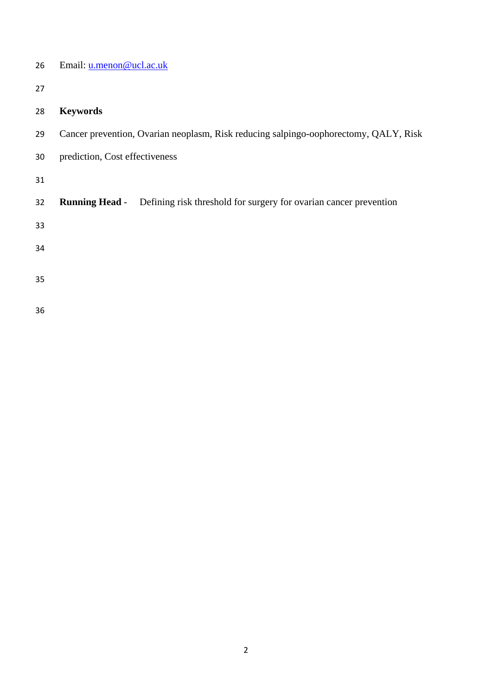| 26 | Email: u.menon@ucl.ac.uk                                                                   |
|----|--------------------------------------------------------------------------------------------|
| 27 |                                                                                            |
| 28 | <b>Keywords</b>                                                                            |
| 29 | Cancer prevention, Ovarian neoplasm, Risk reducing salpingo-oophorectomy, QALY, Risk       |
| 30 | prediction, Cost effectiveness                                                             |
| 31 |                                                                                            |
| 32 | Defining risk threshold for surgery for ovarian cancer prevention<br><b>Running Head -</b> |
| 33 |                                                                                            |
| 34 |                                                                                            |
| 35 |                                                                                            |
|    |                                                                                            |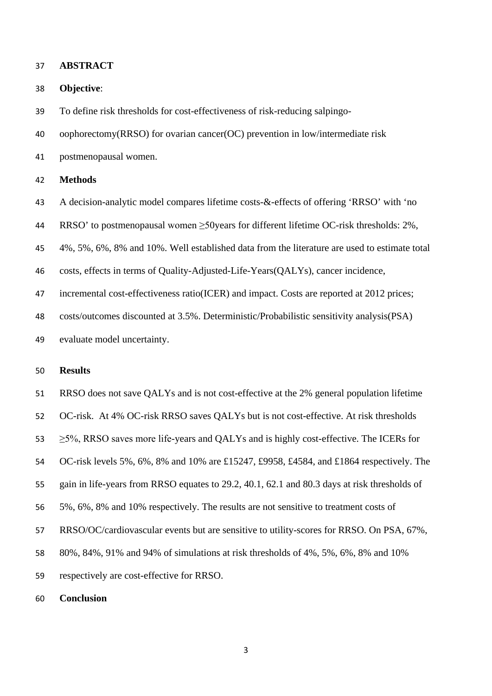#### **ABSTRACT**

## **Objective**:

To define risk thresholds for cost-effectiveness of risk-reducing salpingo-

oophorectomy(RRSO) for ovarian cancer(OC) prevention in low/intermediate risk

postmenopausal women.

## **Methods**

A decision-analytic model compares lifetime costs-&-effects of offering 'RRSO' with 'no

RRSO' to postmenopausal women ≥50years for different lifetime OC-risk thresholds: 2%,

4%, 5%, 6%, 8% and 10%. Well established data from the literature are used to estimate total

costs, effects in terms of Quality-Adjusted-Life-Years(QALYs), cancer incidence,

47 incremental cost-effectiveness ratio(ICER) and impact. Costs are reported at 2012 prices;

costs/outcomes discounted at 3.5%. Deterministic/Probabilistic sensitivity analysis(PSA)

evaluate model uncertainty.

## **Results**

RRSO does not save QALYs and is not cost-effective at the 2% general population lifetime

OC-risk. At 4% OC-risk RRSO saves QALYs but is not cost-effective. At risk thresholds

53  $>5\%$ , RRSO saves more life-years and OALYs and is highly cost-effective. The ICERs for

OC-risk levels 5%, 6%, 8% and 10% are £15247, £9958, £4584, and £1864 respectively. The

- gain in life-years from RRSO equates to 29.2, 40.1, 62.1 and 80.3 days at risk thresholds of
- 5%, 6%, 8% and 10% respectively. The results are not sensitive to treatment costs of
- RRSO/OC/cardiovascular events but are sensitive to utility-scores for RRSO. On PSA, 67%,
- 80%, 84%, 91% and 94% of simulations at risk thresholds of 4%, 5%, 6%, 8% and 10%
- respectively are cost-effective for RRSO.
- **Conclusion**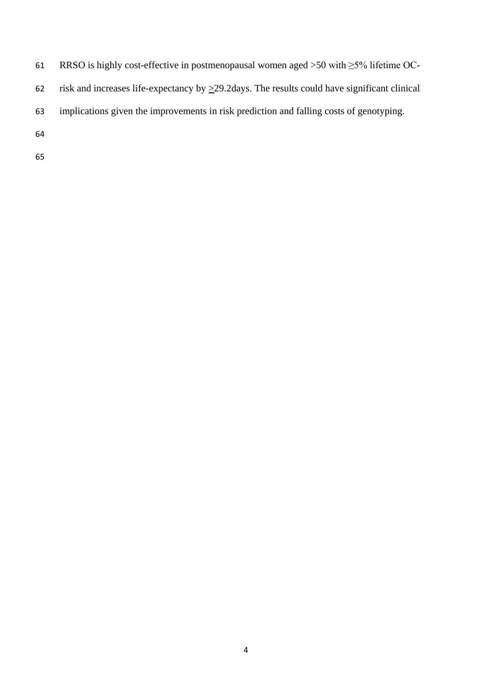- RRSO is highly cost-effective in postmenopausal women aged >50 with ≥5% lifetime OC-
- 62 risk and increases life-expectancy by  $\geq$ 29.2days. The results could have significant clinical
- implications given the improvements in risk prediction and falling costs of genotyping.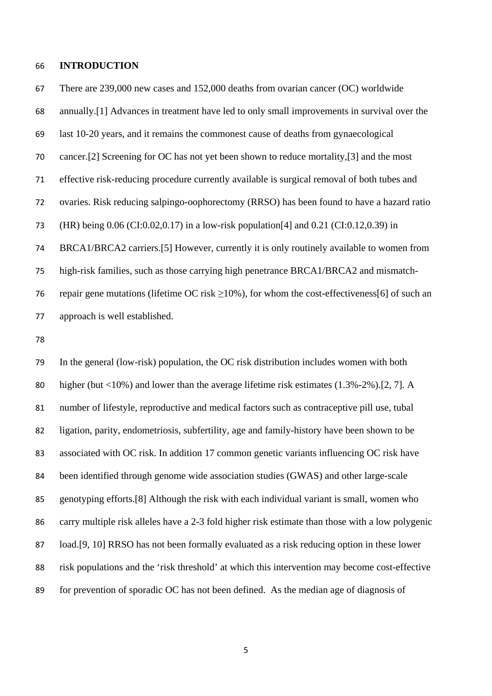#### **INTRODUCTION**

 There are 239,000 new cases and 152,000 deaths from ovarian cancer (OC) worldwide annually.[\[1\]](#page-25-0) Advances in treatment have led to only small improvements in survival over the last 10-20 years, and it remains the commonest cause of deaths from gynaecological cancer.[\[2\]](#page-25-1) Screening for OC has not yet been shown to reduce mortality,[\[3\]](#page-25-2) and the most effective risk-reducing procedure currently available is surgical removal of both tubes and ovaries. Risk reducing salpingo-oophorectomy (RRSO) has been found to have a hazard ratio (HR) being 0.06 (CI:0.02,0.17) in a low-risk population[\[4\]](#page-25-3) and 0.21 (CI:0.12,0.39) in BRCA1/BRCA2 carriers.[\[5\]](#page-25-4) However, currently it is only routinely available to women from high-risk families, such as those carrying high penetrance BRCA1/BRCA2 and mismatch-76 repair gene mutations (lifetime OC risk  $\geq$ 10%), for whom the cost-effectiveness[\[6\]](#page-25-5) of such an approach is well established.

 In the general (low-risk) population, the OC risk distribution includes women with both higher (but <10%) and lower than the average lifetime risk estimates (1.3%-2%).[\[2,](#page-25-1) [7\]](#page-25-6). A number of lifestyle, reproductive and medical factors such as contraceptive pill use, tubal ligation, parity, endometriosis, subfertility, age and family-history have been shown to be associated with OC risk. In addition 17 common genetic variants influencing OC risk have been identified through genome wide association studies (GWAS) and other large-scale genotyping efforts.[\[8\]](#page-25-7) Although the risk with each individual variant is small, women who carry multiple risk alleles have a 2-3 fold higher risk estimate than those with a low polygenic load.[\[9,](#page-26-0) [10\]](#page-26-1) RRSO has not been formally evaluated as a risk reducing option in these lower risk populations and the 'risk threshold' at which this intervention may become cost-effective for prevention of sporadic OC has not been defined. As the median age of diagnosis of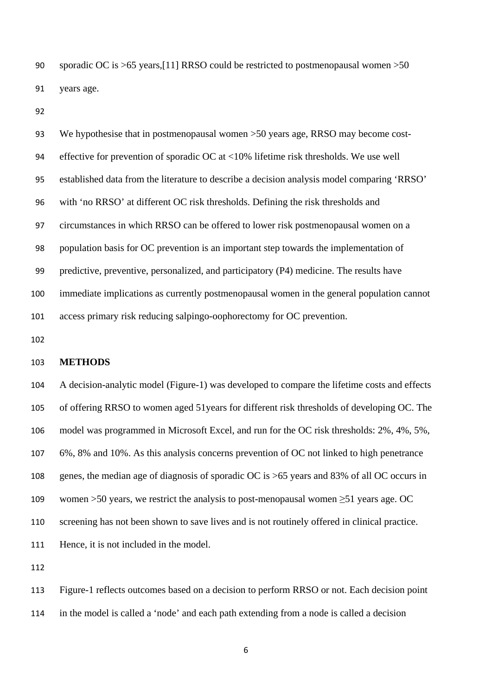sporadic OC is >65 years,[\[11\]](#page-26-2) RRSO could be restricted to postmenopausal women >50 years age.

 We hypothesise that in postmenopausal women >50 years age, RRSO may become cost- effective for prevention of sporadic OC at <10% lifetime risk thresholds. We use well established data from the literature to describe a decision analysis model comparing 'RRSO' with 'no RRSO' at different OC risk thresholds. Defining the risk thresholds and circumstances in which RRSO can be offered to lower risk postmenopausal women on a population basis for OC prevention is an important step towards the implementation of predictive, preventive, personalized, and participatory (P4) medicine. The results have immediate implications as currently postmenopausal women in the general population cannot access primary risk reducing salpingo-oophorectomy for OC prevention.

### **METHODS**

 A decision-analytic model (Figure-1) was developed to compare the lifetime costs and effects of offering RRSO to women aged 51years for different risk thresholds of developing OC. The model was programmed in Microsoft Excel, and run for the OC risk thresholds: 2%, 4%, 5%, 6%, 8% and 10%. As this analysis concerns prevention of OC not linked to high penetrance genes, the median age of diagnosis of sporadic OC is >65 years and 83% of all OC occurs in 109 women >50 years, we restrict the analysis to post-menopausal women  $\geq$ 51 years age. OC screening has not been shown to save lives and is not routinely offered in clinical practice. Hence, it is not included in the model.

 Figure-1 reflects outcomes based on a decision to perform RRSO or not. Each decision point in the model is called a 'node' and each path extending from a node is called a decision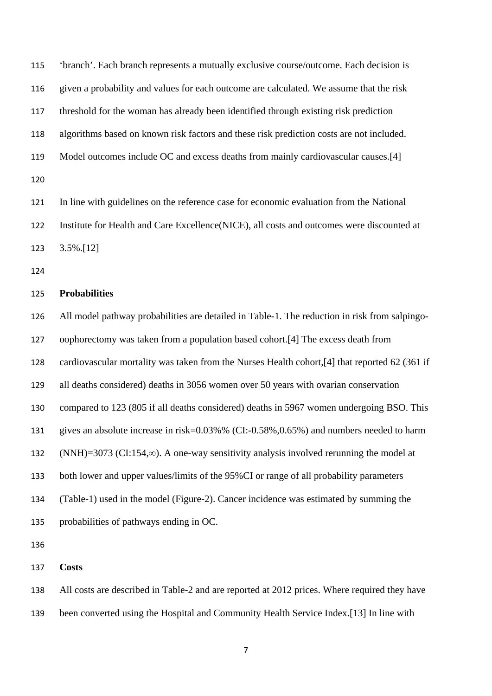'branch'. Each branch represents a mutually exclusive course/outcome. Each decision is given a probability and values for each outcome are calculated. We assume that the risk threshold for the woman has already been identified through existing risk prediction algorithms based on known risk factors and these risk prediction costs are not included. Model outcomes include OC and excess deaths from mainly cardiovascular causes.[\[4\]](#page-25-3) 

 In line with guidelines on the reference case for economic evaluation from the National Institute for Health and Care Excellence(NICE), all costs and outcomes were discounted at 3.5%.[\[12\]](#page-26-3)

## **Probabilities**

 All model pathway probabilities are detailed in Table-1. The reduction in risk from salpingo- oophorectomy was taken from a population based cohort.[\[4\]](#page-25-3) The excess death from cardiovascular mortality was taken from the Nurses Health cohort,[\[4\]](#page-25-3) that reported 62 (361 if all deaths considered) deaths in 3056 women over 50 years with ovarian conservation compared to 123 (805 if all deaths considered) deaths in 5967 women undergoing BSO. This gives an absolute increase in risk=0.03%% (CI:-0.58%,0.65%) and numbers needed to harm (NNH)=3073 (CI:154,∞). A one-way sensitivity analysis involved rerunning the model at both lower and upper values/limits of the 95%CI or range of all probability parameters (Table-1) used in the model (Figure-2). Cancer incidence was estimated by summing the probabilities of pathways ending in OC. 

**Costs**

 All costs are described in Table-2 and are reported at 2012 prices. Where required they have been converted using the Hospital and Community Health Service Index.[\[13\]](#page-26-4) In line with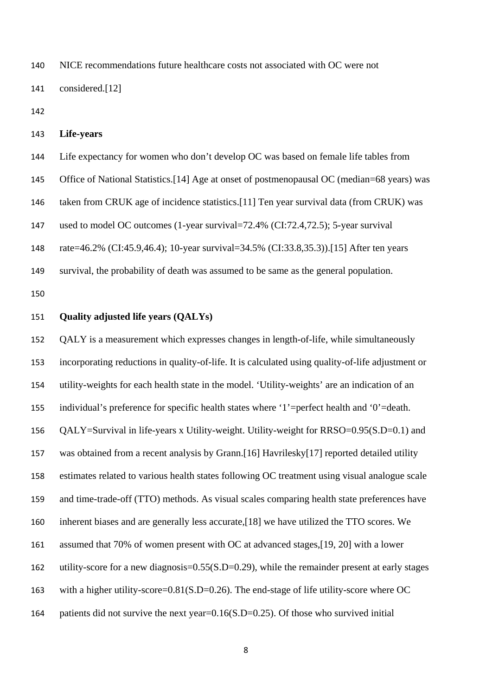NICE recommendations future healthcare costs not associated with OC were not considered.[\[12\]](#page-26-3)

```
143 Life-years
```
 Life expectancy for women who don't develop OC was based on female life tables from Office of National Statistics.[\[14\]](#page-26-5) Age at onset of postmenopausal OC (median=68 years) was taken from CRUK age of incidence statistics.[\[11\]](#page-26-2) Ten year survival data (from CRUK) was used to model OC outcomes (1-year survival=72.4% (CI:72.4,72.5); 5-year survival rate=46.2% (CI:45.9,46.4); 10-year survival=34.5% (CI:33.8,35.3)).[\[15\]](#page-26-6) After ten years survival, the probability of death was assumed to be same as the general population.

## **Quality adjusted life years (QALYs)**

 QALY is a measurement which expresses changes in length-of-life, while simultaneously incorporating reductions in quality-of-life. It is calculated using quality-of-life adjustment or utility-weights for each health state in the model. 'Utility-weights' are an indication of an individual's preference for specific health states where '1'=perfect health and '0'=death. QALY=Survival in life-years x Utility-weight. Utility-weight for RRSO=0.95(S.D=0.1) and was obtained from a recent analysis by Grann.[\[16\]](#page-26-7) Havrilesky[\[17\]](#page-26-8) reported detailed utility estimates related to various health states following OC treatment using visual analogue scale and time-trade-off (TTO) methods. As visual scales comparing health state preferences have inherent biases and are generally less accurate,[\[18\]](#page-26-9) we have utilized the TTO scores. We assumed that 70% of women present with OC at advanced stages,[\[19,](#page-26-10) [20\]](#page-26-11) with a lower 162 utility-score for a new diagnosis=0.55(S.D=0.29), while the remainder present at early stages 163 with a higher utility-score=0.81(S.D=0.26). The end-stage of life utility-score where OC patients did not survive the next year=0.16(S.D=0.25). Of those who survived initial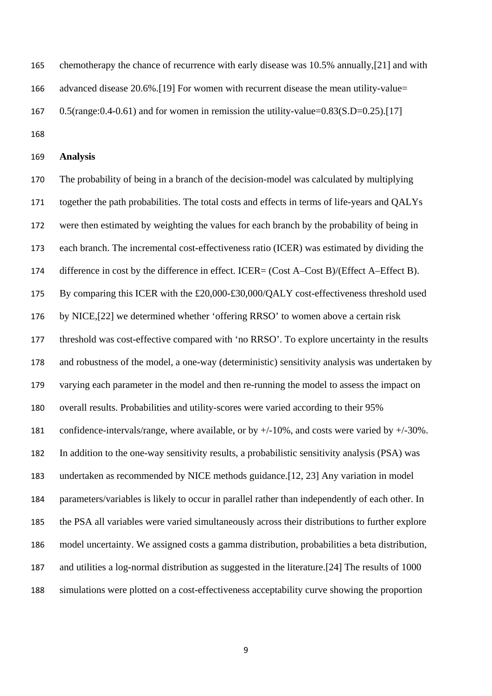chemotherapy the chance of recurrence with early disease was 10.5% annually,[\[21\]](#page-26-12) and with advanced disease 20.6%.[\[19\]](#page-26-10) For women with recurrent disease the mean utility-value= 167 0.5(range: $0.4$ - $0.61$ ) and for women in remission the utility-value= $0.83(S.D=0.25)$ .[\[17\]](#page-26-8) 

**Analysis**

 The probability of being in a branch of the decision-model was calculated by multiplying together the path probabilities. The total costs and effects in terms of life-years and QALYs were then estimated by weighting the values for each branch by the probability of being in each branch. The incremental cost-effectiveness ratio (ICER) was estimated by dividing the 174 difference in cost by the difference in effect. ICER= (Cost A–Cost B)/(Effect A–Effect B). By comparing this ICER with the £20,000-£30,000/QALY cost-effectiveness threshold used by NICE,[\[22\]](#page-26-13) we determined whether 'offering RRSO' to women above a certain risk threshold was cost-effective compared with 'no RRSO'. To explore uncertainty in the results and robustness of the model, a one-way (deterministic) sensitivity analysis was undertaken by varying each parameter in the model and then re-running the model to assess the impact on overall results. Probabilities and utility-scores were varied according to their 95% confidence-intervals/range, where available, or by +/-10%, and costs were varied by +/-30%. In addition to the one-way sensitivity results, a probabilistic sensitivity analysis (PSA) was undertaken as recommended by NICE methods guidance.[\[12,](#page-26-3) [23\]](#page-26-14) Any variation in model parameters/variables is likely to occur in parallel rather than independently of each other. In the PSA all variables were varied simultaneously across their distributions to further explore model uncertainty. We assigned costs a gamma distribution, probabilities a beta distribution, and utilities a log-normal distribution as suggested in the literature.[\[24\]](#page-27-0) The results of 1000 simulations were plotted on a cost-effectiveness acceptability curve showing the proportion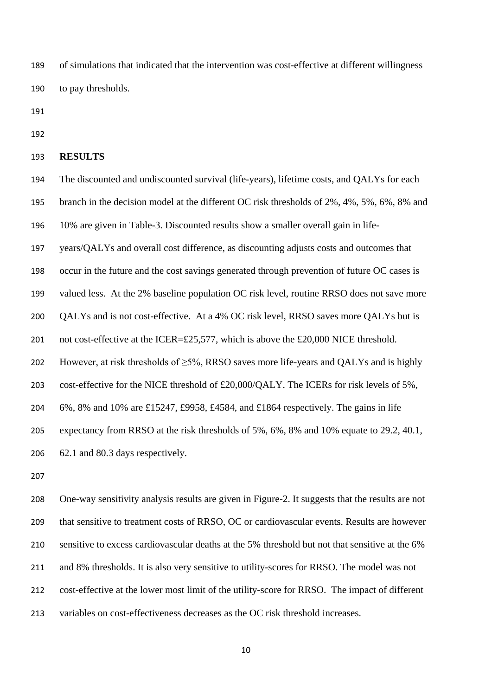of simulations that indicated that the intervention was cost-effective at different willingness to pay thresholds.

## **RESULTS**

 The discounted and undiscounted survival (life-years), lifetime costs, and QALYs for each branch in the decision model at the different OC risk thresholds of 2%, 4%, 5%, 6%, 8% and

10% are given in Table-3. Discounted results show a smaller overall gain in life-

years/QALYs and overall cost difference, as discounting adjusts costs and outcomes that

occur in the future and the cost savings generated through prevention of future OC cases is

valued less. At the 2% baseline population OC risk level, routine RRSO does not save more

QALYs and is not cost-effective. At a 4% OC risk level, RRSO saves more QALYs but is

201 not cost-effective at the ICER=£25,577, which is above the £20,000 NICE threshold.

202 However, at risk thresholds of  $\geq$ 5%, RRSO saves more life-years and QALYs and is highly

cost-effective for the NICE threshold of £20,000/QALY. The ICERs for risk levels of 5%,

6%, 8% and 10% are £15247, £9958, £4584, and £1864 respectively. The gains in life

expectancy from RRSO at the risk thresholds of 5%, 6%, 8% and 10% equate to 29.2, 40.1,

62.1 and 80.3 days respectively.

 One-way sensitivity analysis results are given in Figure-2. It suggests that the results are not that sensitive to treatment costs of RRSO, OC or cardiovascular events. Results are however sensitive to excess cardiovascular deaths at the 5% threshold but not that sensitive at the 6% and 8% thresholds. It is also very sensitive to utility-scores for RRSO. The model was not cost-effective at the lower most limit of the utility-score for RRSO. The impact of different variables on cost-effectiveness decreases as the OC risk threshold increases.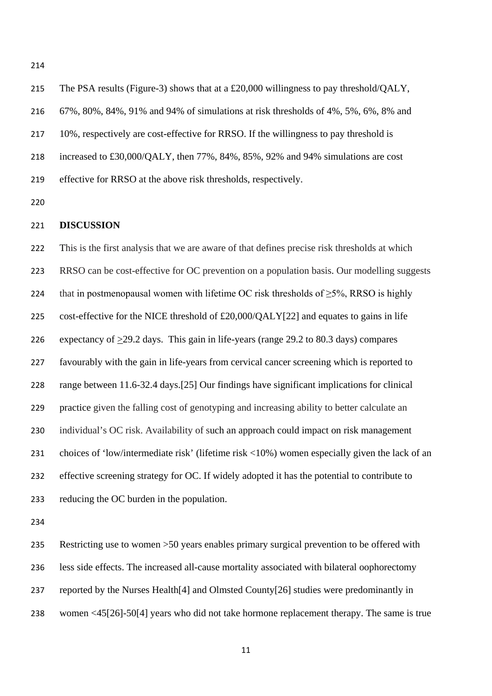The PSA results (Figure-3) shows that at a £20,000 willingness to pay threshold/QALY, 67%, 80%, 84%, 91% and 94% of simulations at risk thresholds of 4%, 5%, 6%, 8% and 10%, respectively are cost-effective for RRSO. If the willingness to pay threshold is increased to £30,000/QALY, then 77%, 84%, 85%, 92% and 94% simulations are cost effective for RRSO at the above risk thresholds, respectively.

#### **DISCUSSION**

 This is the first analysis that we are aware of that defines precise risk thresholds at which RRSO can be cost-effective for OC prevention on a population basis. Our modelling suggests 224 that in postmenopausal women with lifetime OC risk thresholds of  $\geq$ 5%, RRSO is highly cost-effective for the NICE threshold of £20,000/QALY[\[22\]](#page-26-13) and equates to gains in life expectancy of >29.2 days. This gain in life-years (range 29.2 to 80.3 days) compares favourably with the gain in life-years from cervical cancer screening which is reported to range between 11.6-32.4 days.[\[25\]](#page-27-1) Our findings have significant implications for clinical practice given the falling cost of genotyping and increasing ability to better calculate an individual's OC risk. Availability of such an approach could impact on risk management choices of 'low/intermediate risk' (lifetime risk <10%) women especially given the lack of an effective screening strategy for OC. If widely adopted it has the potential to contribute to reducing the OC burden in the population.

 Restricting use to women >50 years enables primary surgical prevention to be offered with less side effects. The increased all-cause mortality associated with bilateral oophorectomy reported by the Nurses Health[\[4\]](#page-25-3) and Olmsted County[\[26\]](#page-27-2) studies were predominantly in women <45[\[26\]](#page-27-2)-50[\[4\]](#page-25-3) years who did not take hormone replacement therapy. The same is true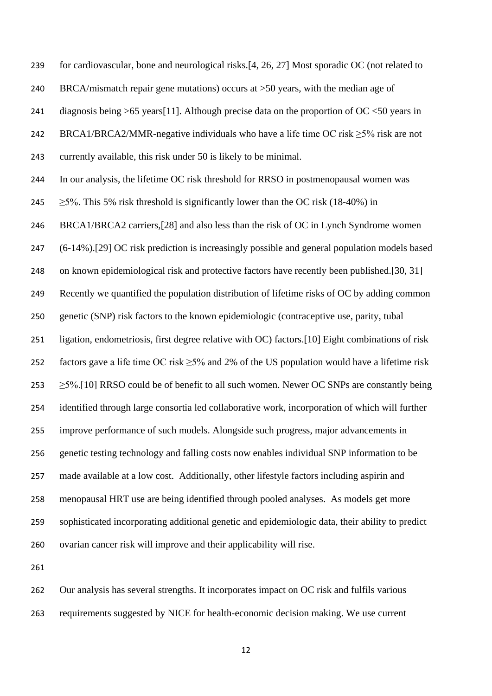for cardiovascular, bone and neurological risks.[\[4,](#page-25-3) [26,](#page-27-2) [27\]](#page-27-3) Most sporadic OC (not related to BRCA/mismatch repair gene mutations) occurs at >50 years, with the median age of 241 diagnosis being >65 years [\[11\]](#page-26-2). Although precise data on the proportion of OC <50 years in 242 BRCA1/BRCA2/MMR-negative individuals who have a life time OC risk  $\geq 5\%$  risk are not currently available, this risk under 50 is likely to be minimal. In our analysis, the lifetime OC risk threshold for RRSO in postmenopausal women was  $\geq$  5%. This 5% risk threshold is significantly lower than the OC risk (18-40%) in BRCA1/BRCA2 carriers,[\[28\]](#page-27-4) and also less than the risk of OC in Lynch Syndrome women (6-14%).[\[29\]](#page-27-5) OC risk prediction is increasingly possible and general population models based 248 on known epidemiological risk and protective factors have recently been published.[\[30,](#page-27-6) [31\]](#page-27-7) Recently we quantified the population distribution of lifetime risks of OC by adding common genetic (SNP) risk factors to the known epidemiologic (contraceptive use, parity, tubal ligation, endometriosis, first degree relative with OC) factors.[\[10\]](#page-26-1) Eight combinations of risk 252 factors gave a life time OC risk  $\geq$ 5% and 2% of the US population would have a lifetime risk  $\geq$  5%.[\[10\]](#page-26-1) RRSO could be of benefit to all such women. Newer OC SNPs are constantly being identified through large consortia led collaborative work, incorporation of which will further improve performance of such models. Alongside such progress, major advancements in genetic testing technology and falling costs now enables individual SNP information to be made available at a low cost. Additionally, other lifestyle factors including aspirin and menopausal HRT use are being identified through pooled analyses. As models get more sophisticated incorporating additional genetic and epidemiologic data, their ability to predict ovarian cancer risk will improve and their applicability will rise.

 Our analysis has several strengths. It incorporates impact on OC risk and fulfils various requirements suggested by NICE for health-economic decision making. We use current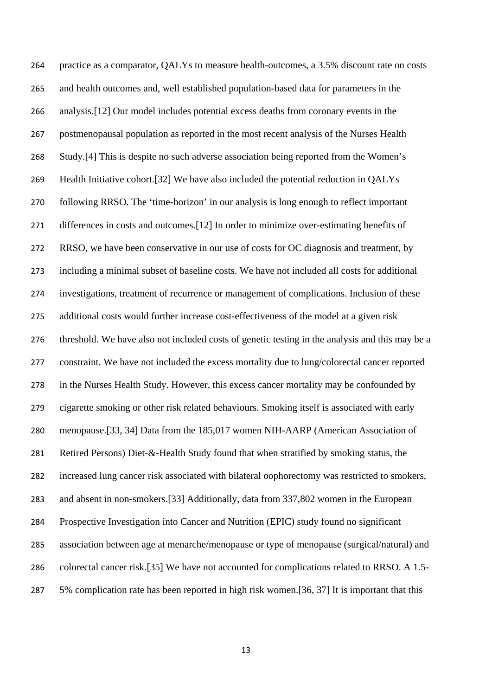practice as a comparator, QALYs to measure health-outcomes, a 3.5% discount rate on costs and health outcomes and, well established population-based data for parameters in the analysis.[\[12\]](#page-26-3) Our model includes potential excess deaths from coronary events in the postmenopausal population as reported in the most recent analysis of the Nurses Health Study.[\[4\]](#page-25-3) This is despite no such adverse association being reported from the Women's Health Initiative cohort.[\[32\]](#page-27-8) We have also included the potential reduction in QALYs following RRSO. The 'time-horizon' in our analysis is long enough to reflect important differences in costs and outcomes.[\[12\]](#page-26-3) In order to minimize over-estimating benefits of RRSO, we have been conservative in our use of costs for OC diagnosis and treatment, by including a minimal subset of baseline costs. We have not included all costs for additional investigations, treatment of recurrence or management of complications. Inclusion of these additional costs would further increase cost-effectiveness of the model at a given risk threshold. We have also not included costs of genetic testing in the analysis and this may be a constraint. We have not included the excess mortality due to lung/colorectal cancer reported in the Nurses Health Study. However, this excess cancer mortality may be confounded by cigarette smoking or other risk related behaviours. Smoking itself is associated with early menopause.[\[33,](#page-27-9) [34\]](#page-27-10) Data from the 185,017 women NIH-AARP (American Association of Retired Persons) Diet-&-Health Study found that when stratified by smoking status, the increased lung cancer risk associated with bilateral oophorectomy was restricted to smokers, and absent in non-smokers.[\[33\]](#page-27-9) Additionally, data from 337,802 women in the European Prospective Investigation into Cancer and Nutrition (EPIC) study found no significant association between age at menarche/menopause or type of menopause (surgical/natural) and colorectal cancer risk.[\[35\]](#page-27-11) We have not accounted for complications related to RRSO. A 1.5- 5% complication rate has been reported in high risk women.[\[36,](#page-27-12) [37\]](#page-27-13) It is important that this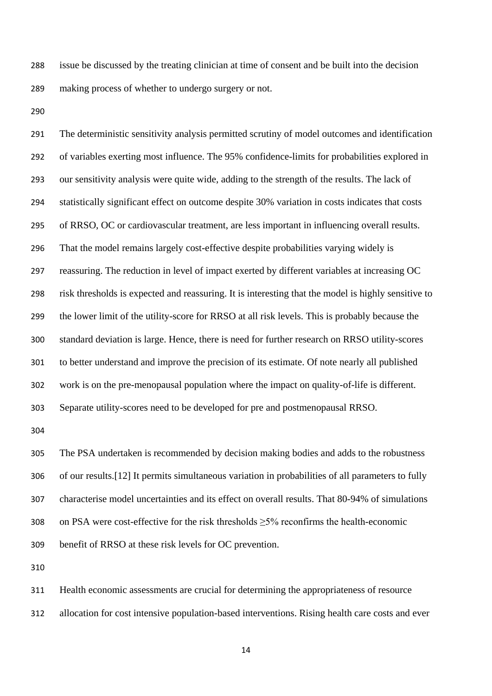issue be discussed by the treating clinician at time of consent and be built into the decision making process of whether to undergo surgery or not.

 The deterministic sensitivity analysis permitted scrutiny of model outcomes and identification of variables exerting most influence. The 95% confidence-limits for probabilities explored in our sensitivity analysis were quite wide, adding to the strength of the results. The lack of statistically significant effect on outcome despite 30% variation in costs indicates that costs of RRSO, OC or cardiovascular treatment, are less important in influencing overall results. That the model remains largely cost-effective despite probabilities varying widely is reassuring. The reduction in level of impact exerted by different variables at increasing OC risk thresholds is expected and reassuring. It is interesting that the model is highly sensitive to the lower limit of the utility-score for RRSO at all risk levels. This is probably because the standard deviation is large. Hence, there is need for further research on RRSO utility-scores to better understand and improve the precision of its estimate. Of note nearly all published work is on the pre-menopausal population where the impact on quality-of-life is different. Separate utility-scores need to be developed for pre and postmenopausal RRSO.

 The PSA undertaken is recommended by decision making bodies and adds to the robustness of our results.[\[12\]](#page-26-3) It permits simultaneous variation in probabilities of all parameters to fully characterise model uncertainties and its effect on overall results. That 80-94% of simulations on PSA were cost-effective for the risk thresholds ≥5% reconfirms the health-economic benefit of RRSO at these risk levels for OC prevention.

Health economic assessments are crucial for determining the appropriateness of resource

allocation for cost intensive population-based interventions. Rising health care costs and ever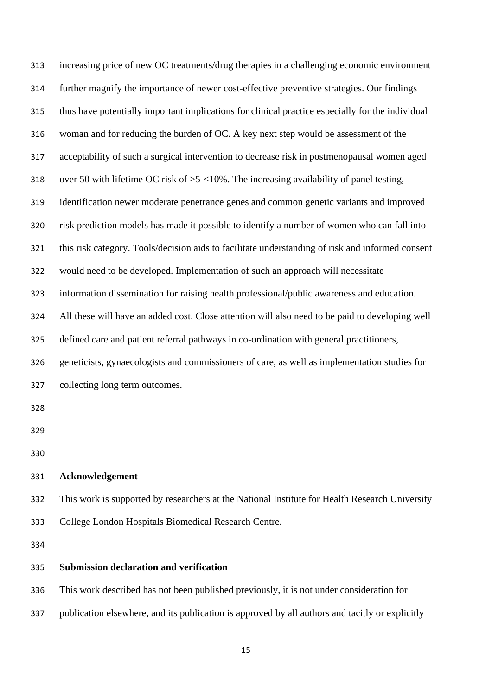| 313 | increasing price of new OC treatments/drug therapies in a challenging economic environment       |
|-----|--------------------------------------------------------------------------------------------------|
| 314 | further magnify the importance of newer cost-effective preventive strategies. Our findings       |
| 315 | thus have potentially important implications for clinical practice especially for the individual |
| 316 | woman and for reducing the burden of OC. A key next step would be assessment of the              |
| 317 | acceptability of such a surgical intervention to decrease risk in postmenopausal women aged      |
| 318 | over 50 with lifetime OC risk of $>5$ - $<$ 10%. The increasing availability of panel testing,   |
| 319 | identification newer moderate penetrance genes and common genetic variants and improved          |
| 320 | risk prediction models has made it possible to identify a number of women who can fall into      |
| 321 | this risk category. Tools/decision aids to facilitate understanding of risk and informed consent |
| 322 | would need to be developed. Implementation of such an approach will necessitate                  |
| 323 | information dissemination for raising health professional/public awareness and education.        |
| 324 | All these will have an added cost. Close attention will also need to be paid to developing well  |
| 325 | defined care and patient referral pathways in co-ordination with general practitioners,          |
| 326 | geneticists, gynaecologists and commissioners of care, as well as implementation studies for     |
| 327 | collecting long term outcomes.                                                                   |
| 328 |                                                                                                  |
| 329 |                                                                                                  |
| 330 |                                                                                                  |
| 331 | Acknowledgement                                                                                  |
| 332 | This work is supported by researchers at the National Institute for Health Research University   |
| 333 | College London Hospitals Biomedical Research Centre.                                             |
| 334 |                                                                                                  |
| 335 | <b>Submission declaration and verification</b>                                                   |
| 336 | This work described has not been published previously, it is not under consideration for         |

publication elsewhere, and its publication is approved by all authors and tacitly or explicitly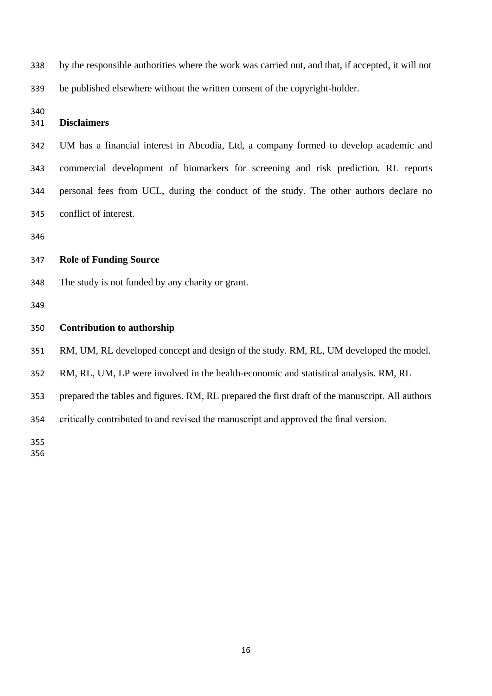by the responsible authorities where the work was carried out, and that, if accepted, it will not be published elsewhere without the written consent of the copyright-holder.

# **Disclaimers**

 UM has a financial interest in Abcodia, Ltd, a company formed to develop academic and commercial development of biomarkers for screening and risk prediction. RL reports personal fees from UCL, during the conduct of the study. The other authors declare no conflict of interest.

## **Role of Funding Source**

The study is not funded by any charity or grant.

#### **Contribution to authorship**

RM, UM, RL developed concept and design of the study. RM, RL, UM developed the model.

RM, RL, UM, LP were involved in the health-economic and statistical analysis. RM, RL

prepared the tables and figures. RM, RL prepared the first draft of the manuscript. All authors

critically contributed to and revised the manuscript and approved the final version.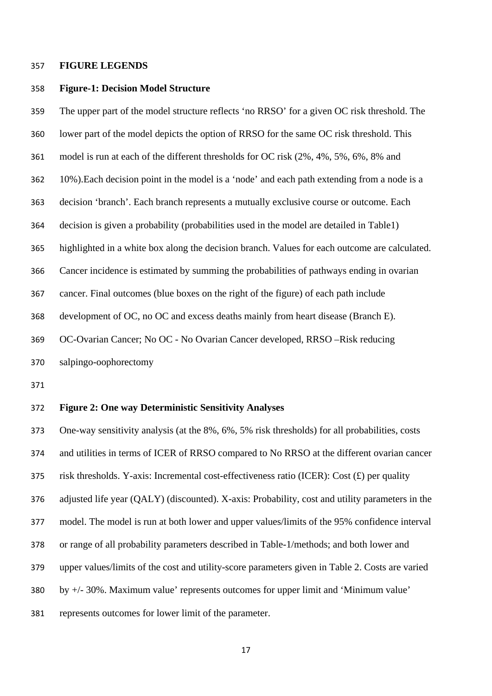#### **FIGURE LEGENDS**

## **Figure-1: Decision Model Structure**

 The upper part of the model structure reflects 'no RRSO' for a given OC risk threshold. The lower part of the model depicts the option of RRSO for the same OC risk threshold. This model is run at each of the different thresholds for OC risk (2%, 4%, 5%, 6%, 8% and 10%).Each decision point in the model is a 'node' and each path extending from a node is a decision 'branch'. Each branch represents a mutually exclusive course or outcome. Each decision is given a probability (probabilities used in the model are detailed in Table1) highlighted in a white box along the decision branch. Values for each outcome are calculated. Cancer incidence is estimated by summing the probabilities of pathways ending in ovarian cancer. Final outcomes (blue boxes on the right of the figure) of each path include development of OC, no OC and excess deaths mainly from heart disease (Branch E). OC-Ovarian Cancer; No OC - No Ovarian Cancer developed, RRSO –Risk reducing salpingo-oophorectomy

## **Figure 2: One way Deterministic Sensitivity Analyses**

 One-way sensitivity analysis (at the 8%, 6%, 5% risk thresholds) for all probabilities, costs and utilities in terms of ICER of RRSO compared to No RRSO at the different ovarian cancer risk thresholds. Y-axis: Incremental cost-effectiveness ratio (ICER): Cost (£) per quality adjusted life year (QALY) (discounted). X-axis: Probability, cost and utility parameters in the model. The model is run at both lower and upper values/limits of the 95% confidence interval or range of all probability parameters described in Table-1/methods; and both lower and upper values/limits of the cost and utility-score parameters given in Table 2. Costs are varied by +/- 30%. Maximum value' represents outcomes for upper limit and 'Minimum value' represents outcomes for lower limit of the parameter.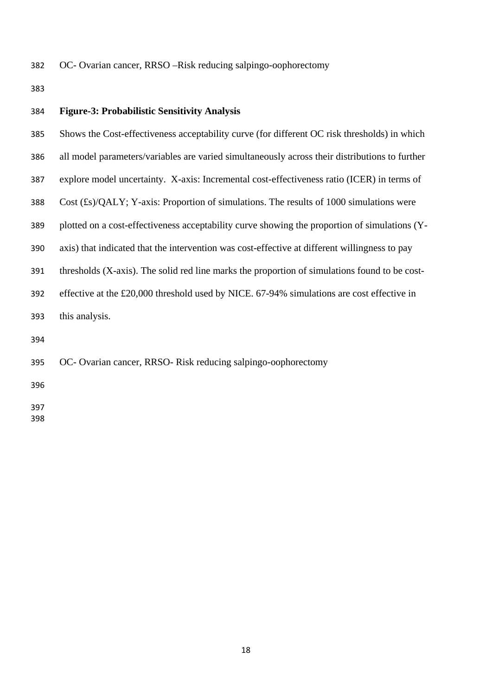OC- Ovarian cancer, RRSO –Risk reducing salpingo-oophorectomy

| 384 | <b>Figure-3: Probabilistic Sensitivity Analysis</b>                                            |
|-----|------------------------------------------------------------------------------------------------|
| 385 | Shows the Cost-effectiveness acceptability curve (for different OC risk thresholds) in which   |
| 386 | all model parameters/variables are varied simultaneously across their distributions to further |
| 387 | explore model uncertainty. X-axis: Incremental cost-effectiveness ratio (ICER) in terms of     |
| 388 | Cost $(f_s)/QALY$ ; Y-axis: Proportion of simulations. The results of 1000 simulations were    |
| 389 | plotted on a cost-effectiveness acceptability curve showing the proportion of simulations (Y-  |
| 390 | axis) that indicated that the intervention was cost-effective at different willingness to pay  |
| 391 | thresholds (X-axis). The solid red line marks the proportion of simulations found to be cost-  |
| 392 | effective at the £20,000 threshold used by NICE. 67-94% simulations are cost effective in      |
| 393 | this analysis.                                                                                 |
| 394 |                                                                                                |
| 395 | OC- Ovarian cancer, RRSO- Risk reducing salpingo-oophorectomy                                  |
| 396 |                                                                                                |
|     |                                                                                                |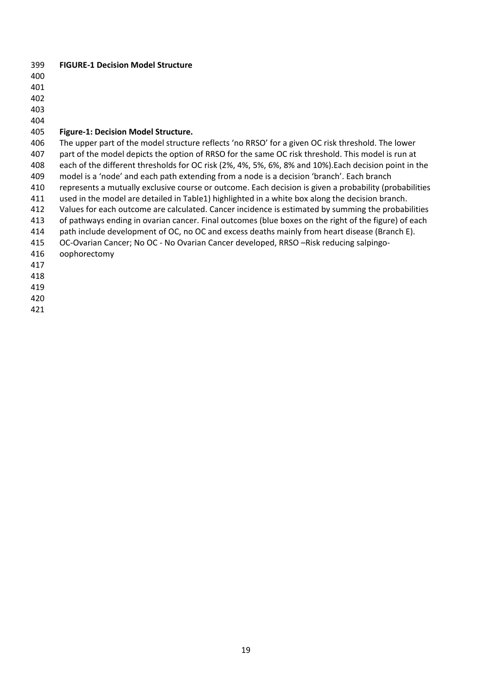- **FIGURE-1 Decision Model Structure**
- 
- 

## **Figure-1: Decision Model Structure.**

 The upper part of the model structure reflects 'no RRSO' for a given OC risk threshold. The lower part of the model depicts the option of RRSO for the same OC risk threshold. This model is run at each of the different thresholds for OC risk (2%, 4%, 5%, 6%, 8% and 10%).Each decision point in the model is a 'node' and each path extending from a node is a decision 'branch'. Each branch 410 represents a mutually exclusive course or outcome. Each decision is given a probability (probabilities used in the model are detailed in Table1) highlighted in a white box along the decision branch. Values for each outcome are calculated. Cancer incidence is estimated by summing the probabilities of pathways ending in ovarian cancer. Final outcomes (blue boxes on the right of the figure) of each path include development of OC, no OC and excess deaths mainly from heart disease (Branch E). OC-Ovarian Cancer; No OC - No Ovarian Cancer developed, RRSO –Risk reducing salpingo- oophorectomy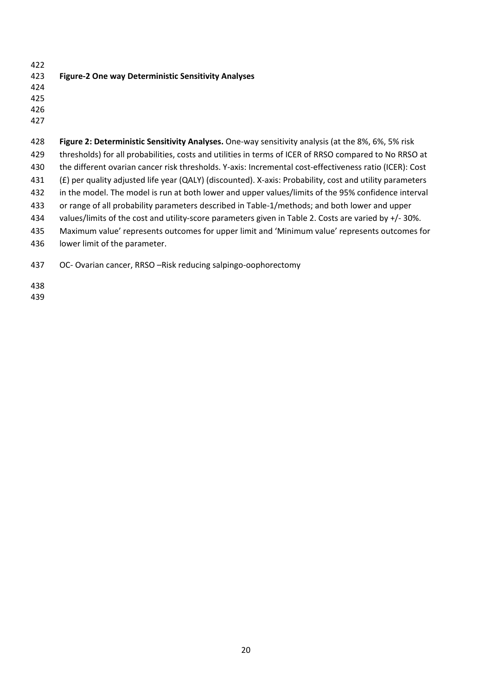| 422 |                                                            |
|-----|------------------------------------------------------------|
| 423 | <b>Figure-2 One way Deterministic Sensitivity Analyses</b> |
| 424 |                                                            |
| 425 |                                                            |
| 426 |                                                            |

| 428 | Figure 2: Deterministic Sensitivity Analyses. One-way sensitivity analysis (at the 8%, 6%, 5% risk       |
|-----|----------------------------------------------------------------------------------------------------------|
| 429 | thresholds) for all probabilities, costs and utilities in terms of ICER of RRSO compared to No RRSO at   |
| 430 | the different ovarian cancer risk thresholds. Y-axis: Incremental cost-effectiveness ratio (ICER): Cost  |
| 431 | (£) per quality adjusted life year (QALY) (discounted). X-axis: Probability, cost and utility parameters |
| 432 | in the model. The model is run at both lower and upper values/limits of the 95% confidence interval      |
| 433 | or range of all probability parameters described in Table-1/methods; and both lower and upper            |
| 434 | values/limits of the cost and utility-score parameters given in Table 2. Costs are varied by $+/-30\%$ . |
| 435 | Maximum value' represents outcomes for upper limit and 'Minimum value' represents outcomes for           |
| 436 | lower limit of the parameter.                                                                            |
|     |                                                                                                          |

OC- Ovarian cancer, RRSO –Risk reducing salpingo-oophorectomy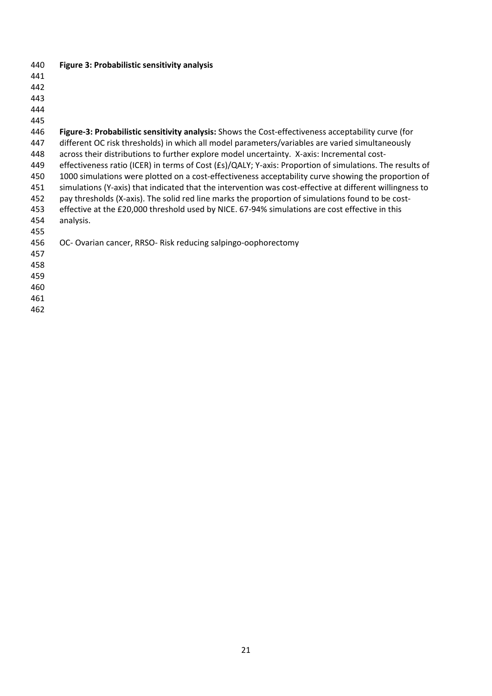| 440 | Figure 3: Probabilistic sensitivity analysis                                                                |
|-----|-------------------------------------------------------------------------------------------------------------|
| 441 |                                                                                                             |
| 442 |                                                                                                             |
| 443 |                                                                                                             |
| 444 |                                                                                                             |
| 445 |                                                                                                             |
| 446 | Figure-3: Probabilistic sensitivity analysis: Shows the Cost-effectiveness acceptability curve (for         |
| 447 | different OC risk thresholds) in which all model parameters/variables are varied simultaneously             |
| 448 | across their distributions to further explore model uncertainty. X-axis: Incremental cost-                  |
| 449 | effectiveness ratio (ICER) in terms of Cost $(Es)/QALY$ ; Y-axis: Proportion of simulations. The results of |
| 450 | 1000 simulations were plotted on a cost-effectiveness acceptability curve showing the proportion of         |
| 451 | simulations (Y-axis) that indicated that the intervention was cost-effective at different willingness to    |
| 452 | pay thresholds (X-axis). The solid red line marks the proportion of simulations found to be cost-           |
| 453 | effective at the £20,000 threshold used by NICE. 67-94% simulations are cost effective in this              |
| 454 | analysis.                                                                                                   |
| 455 |                                                                                                             |
| 456 | OC-Ovarian cancer, RRSO-Risk reducing salpingo-oophorectomy                                                 |
| 457 |                                                                                                             |
| 458 |                                                                                                             |
| 459 |                                                                                                             |
| 460 |                                                                                                             |
| 461 |                                                                                                             |
| 462 |                                                                                                             |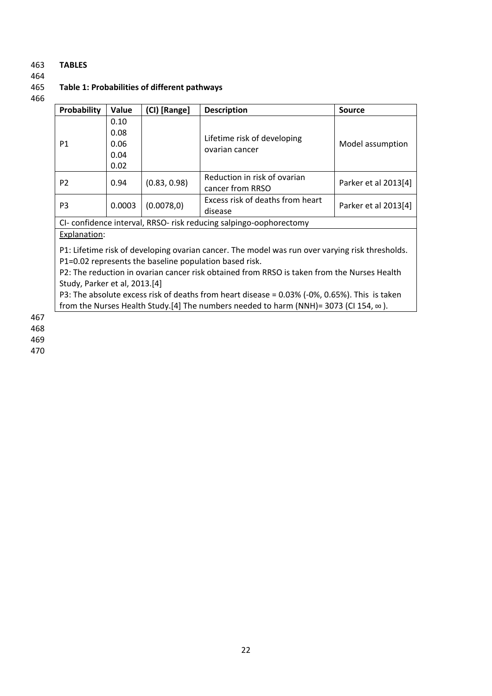## 463 **TABLES**

464

## 465 **Table 1: Probabilities of different pathways**

466

| Probability    | Value  | (CI) [Range] | <b>Description</b>                                                | <b>Source</b>                |                      |
|----------------|--------|--------------|-------------------------------------------------------------------|------------------------------|----------------------|
|                | 0.10   |              |                                                                   |                              |                      |
|                | 0.08   |              | Lifetime risk of developing                                       |                              |                      |
| P <sub>1</sub> | 0.06   |              | ovarian cancer                                                    | Model assumption             |                      |
|                | 0.04   |              |                                                                   |                              |                      |
|                | 0.02   |              |                                                                   |                              |                      |
| P <sub>2</sub> |        | 0.94         | (0.83, 0.98)                                                      | Reduction in risk of ovarian | Parker et al 2013[4] |
|                |        |              | cancer from RRSO                                                  |                              |                      |
| P <sub>3</sub> | 0.0003 | (0.0078, 0)  | Excess risk of deaths from heart                                  |                              |                      |
|                |        |              | disease                                                           | Parker et al 2013[4]         |                      |
|                |        |              | CI-confidence interval, RRSO- risk reducing salpingo-oophorectomy |                              |                      |

## Explanation:

P1: Lifetime risk of developing ovarian cancer. The model was run over varying risk thresholds. P1=0.02 represents the baseline population based risk.

P2: The reduction in ovarian cancer risk obtained from RRSO is taken from the Nurses Health Study, Parker et al, 2013.[\[4\]](#page-25-3)

P3: The absolute excess risk of deaths from heart disease = 0.03% (-0%, 0.65%). This is taken from the Nurses Health Study.[\[4\]](#page-25-3) The numbers needed to harm (NNH)= 3073 (CI 154, ∞ ).

467

468

469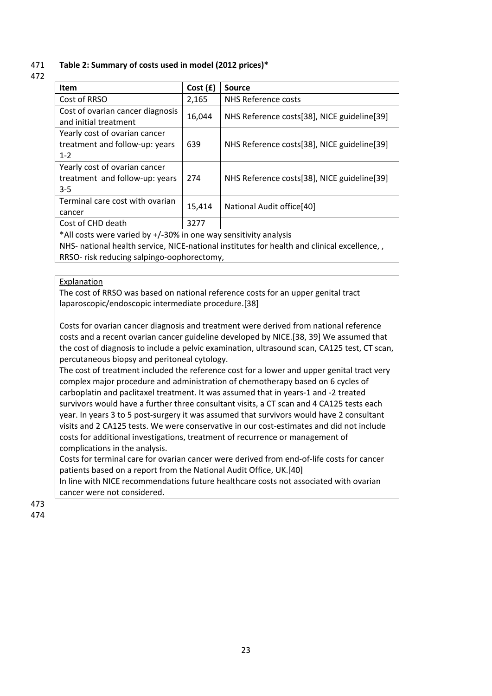## 471 **Table 2: Summary of costs used in model (2012 prices)\***

472

| <b>Item</b>                                                                                 | Cost(f) | <b>Source</b>                               |  |  |  |
|---------------------------------------------------------------------------------------------|---------|---------------------------------------------|--|--|--|
| Cost of RRSO                                                                                | 2,165   | NHS Reference costs                         |  |  |  |
| Cost of ovarian cancer diagnosis                                                            | 16,044  | NHS Reference costs[38], NICE guideline[39] |  |  |  |
| and initial treatment                                                                       |         |                                             |  |  |  |
| Yearly cost of ovarian cancer                                                               |         |                                             |  |  |  |
| treatment and follow-up: years                                                              | 639     | NHS Reference costs[38], NICE guideline[39] |  |  |  |
| $1 - 2$                                                                                     |         |                                             |  |  |  |
| Yearly cost of ovarian cancer                                                               |         |                                             |  |  |  |
| treatment and follow-up: years                                                              | 274     | NHS Reference costs[38], NICE guideline[39] |  |  |  |
| $3 - 5$                                                                                     |         |                                             |  |  |  |
| Terminal care cost with ovarian                                                             |         |                                             |  |  |  |
| cancer                                                                                      | 15,414  | National Audit office[40]                   |  |  |  |
| Cost of CHD death                                                                           | 3277    |                                             |  |  |  |
| *All costs were varied by +/-30% in one way sensitivity analysis                            |         |                                             |  |  |  |
| NHS- national health service, NICE-national institutes for health and clinical excellence,, |         |                                             |  |  |  |

RRSO- risk reducing salpingo-oophorectomy,

## **Explanation**

The cost of RRSO was based on national reference costs for an upper genital tract laparoscopic/endoscopic intermediate procedure.[\[38\]](#page-27-14)

Costs for ovarian cancer diagnosis and treatment were derived from national reference costs and a recent ovarian cancer guideline developed by NICE.[\[38,](#page-27-14) [39\]](#page-27-15) We assumed that the cost of diagnosis to include a pelvic examination, ultrasound scan, CA125 test, CT scan, percutaneous biopsy and peritoneal cytology.

The cost of treatment included the reference cost for a lower and upper genital tract very complex major procedure and administration of chemotherapy based on 6 cycles of carboplatin and paclitaxel treatment. It was assumed that in years-1 and -2 treated survivors would have a further three consultant visits, a CT scan and 4 CA125 tests each year. In years 3 to 5 post-surgery it was assumed that survivors would have 2 consultant visits and 2 CA125 tests. We were conservative in our cost-estimates and did not include costs for additional investigations, treatment of recurrence or management of complications in the analysis.

Costs for terminal care for ovarian cancer were derived from end-of-life costs for cancer patients based on a report from the National Audit Office, UK.[\[40\]](#page-28-0)

In line with NICE recommendations future healthcare costs not associated with ovarian cancer were not considered.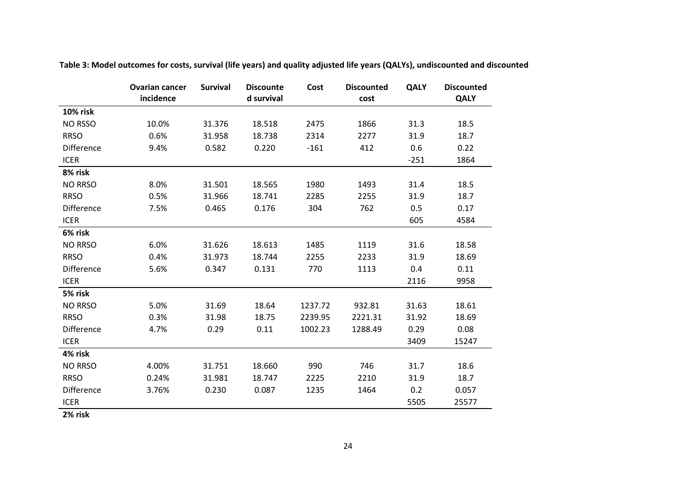|                   | <b>Ovarian cancer</b><br>incidence | <b>Survival</b> | <b>Discounte</b><br>d survival | Cost    | <b>Discounted</b><br>cost | <b>QALY</b> | <b>Discounted</b><br><b>QALY</b> |
|-------------------|------------------------------------|-----------------|--------------------------------|---------|---------------------------|-------------|----------------------------------|
| <b>10% risk</b>   |                                    |                 |                                |         |                           |             |                                  |
| NO RSSO           | 10.0%                              | 31.376          | 18.518                         | 2475    | 1866                      | 31.3        | 18.5                             |
| <b>RRSO</b>       | 0.6%                               | 31.958          | 18.738                         | 2314    | 2277                      | 31.9        | 18.7                             |
| <b>Difference</b> | 9.4%                               | 0.582           | 0.220                          | $-161$  | 412                       | 0.6         | 0.22                             |
| <b>ICER</b>       |                                    |                 |                                |         |                           | $-251$      | 1864                             |
| 8% risk           |                                    |                 |                                |         |                           |             |                                  |
| <b>NO RRSO</b>    | 8.0%                               | 31.501          | 18.565                         | 1980    | 1493                      | 31.4        | 18.5                             |
| <b>RRSO</b>       | 0.5%                               | 31.966          | 18.741                         | 2285    | 2255                      | 31.9        | 18.7                             |
| Difference        | 7.5%                               | 0.465           | 0.176                          | 304     | 762                       | 0.5         | 0.17                             |
| <b>ICER</b>       |                                    |                 |                                |         |                           | 605         | 4584                             |
| 6% risk           |                                    |                 |                                |         |                           |             |                                  |
| <b>NO RRSO</b>    | 6.0%                               | 31.626          | 18.613                         | 1485    | 1119                      | 31.6        | 18.58                            |
| <b>RRSO</b>       | 0.4%                               | 31.973          | 18.744                         | 2255    | 2233                      | 31.9        | 18.69                            |
| <b>Difference</b> | 5.6%                               | 0.347           | 0.131                          | 770     | 1113                      | 0.4         | 0.11                             |
| <b>ICER</b>       |                                    |                 |                                |         |                           | 2116        | 9958                             |
| 5% risk           |                                    |                 |                                |         |                           |             |                                  |
| <b>NO RRSO</b>    | 5.0%                               | 31.69           | 18.64                          | 1237.72 | 932.81                    | 31.63       | 18.61                            |
| <b>RRSO</b>       | 0.3%                               | 31.98           | 18.75                          | 2239.95 | 2221.31                   | 31.92       | 18.69                            |
| Difference        | 4.7%                               | 0.29            | 0.11                           | 1002.23 | 1288.49                   | 0.29        | 0.08                             |
| <b>ICER</b>       |                                    |                 |                                |         |                           | 3409        | 15247                            |
| 4% risk           |                                    |                 |                                |         |                           |             |                                  |
| <b>NO RRSO</b>    | 4.00%                              | 31.751          | 18.660                         | 990     | 746                       | 31.7        | 18.6                             |
| <b>RRSO</b>       | 0.24%                              | 31.981          | 18.747                         | 2225    | 2210                      | 31.9        | 18.7                             |
| Difference        | 3.76%                              | 0.230           | 0.087                          | 1235    | 1464                      | 0.2         | 0.057                            |
| <b>ICER</b>       |                                    |                 |                                |         |                           | 5505        | 25577                            |

**Table 3: Model outcomes for costs, survival (life years) and quality adjusted life years (QALYs), undiscounted and discounted**

**2% risk**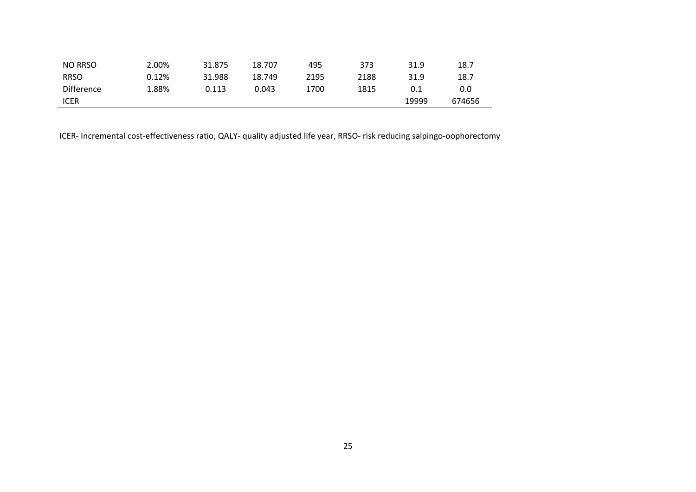| NO RRSO           | 2.00%    | 31.875 | 18.707 | 495  | 373  | 31.9  | 18.7   |
|-------------------|----------|--------|--------|------|------|-------|--------|
| <b>RRSO</b>       | $0.12\%$ | 31.988 | 18.749 | 2195 | 2188 | 31.9  | 18.7   |
| <b>Difference</b> | 1.88%    | 0.113  | 0.043  | 1700 | 1815 | 0.1   | 0.0    |
| <b>ICER</b>       |          |        |        |      |      | 19999 | 674656 |

ICER- Incremental cost-effectiveness ratio, QALY- quality adjusted life year, RRSO- risk reducing salpingo-oophorectomy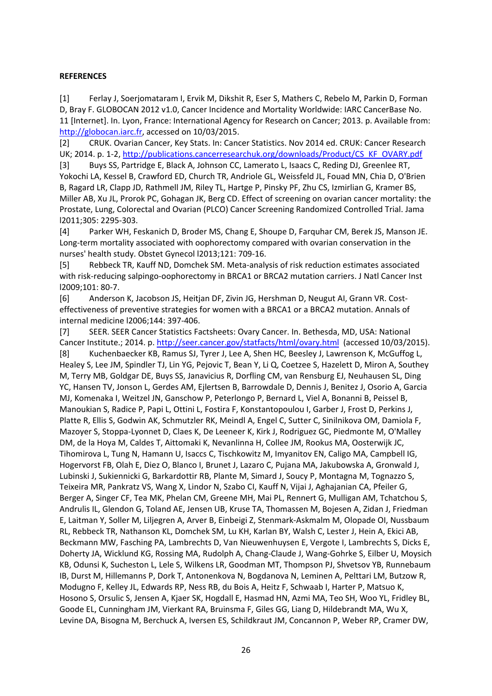## **REFERENCES**

<span id="page-25-0"></span>[1] Ferlay J, Soerjomataram I, Ervik M, Dikshit R, Eser S, Mathers C, Rebelo M, Parkin D, Forman D, Bray F. GLOBOCAN 2012 v1.0, Cancer Incidence and Mortality Worldwide: IARC CancerBase No. 11 [Internet]. In. Lyon, France: International Agency for Research on Cancer; 2013. p. Available from: [http://globocan.iarc.fr,](http://globocan.iarc.fr/) accessed on 10/03/2015.

<span id="page-25-1"></span>[2] CRUK. Ovarian Cancer, Key Stats. In: Cancer Statistics. Nov 2014 ed. CRUK: Cancer Research UK; 2014. p. 1-2[, http://publications.cancerresearchuk.org/downloads/Product/CS\\_KF\\_OVARY.pdf](http://publications.cancerresearchuk.org/downloads/Product/CS_KF_OVARY.pdf) 

<span id="page-25-2"></span>[3] Buys SS, Partridge E, Black A, Johnson CC, Lamerato L, Isaacs C, Reding DJ, Greenlee RT, Yokochi LA, Kessel B, Crawford ED, Church TR, Andriole GL, Weissfeld JL, Fouad MN, Chia D, O'Brien B, Ragard LR, Clapp JD, Rathmell JM, Riley TL, Hartge P, Pinsky PF, Zhu CS, Izmirlian G, Kramer BS, Miller AB, Xu JL, Prorok PC, Gohagan JK, Berg CD. Effect of screening on ovarian cancer mortality: the Prostate, Lung, Colorectal and Ovarian (PLCO) Cancer Screening Randomized Controlled Trial. Jama l2011;305: 2295-303.

<span id="page-25-3"></span>[4] Parker WH, Feskanich D, Broder MS, Chang E, Shoupe D, Farquhar CM, Berek JS, Manson JE. Long-term mortality associated with oophorectomy compared with ovarian conservation in the nurses' health study. Obstet Gynecol l2013;121: 709-16.

<span id="page-25-4"></span>[5] Rebbeck TR, Kauff ND, Domchek SM. Meta-analysis of risk reduction estimates associated with risk-reducing salpingo-oophorectomy in BRCA1 or BRCA2 mutation carriers. J Natl Cancer Inst l2009;101: 80-7.

<span id="page-25-5"></span>[6] Anderson K, Jacobson JS, Heitjan DF, Zivin JG, Hershman D, Neugut AI, Grann VR. Costeffectiveness of preventive strategies for women with a BRCA1 or a BRCA2 mutation. Annals of internal medicine l2006;144: 397-406.

<span id="page-25-6"></span>[7] SEER. SEER Cancer Statistics Factsheets: Ovary Cancer. In. Bethesda, MD, USA: National Cancer Institute.; 2014. p.<http://seer.cancer.gov/statfacts/html/ovary.html>(accessed 10/03/2015).

<span id="page-25-7"></span>[8] Kuchenbaecker KB, Ramus SJ, Tyrer J, Lee A, Shen HC, Beesley J, Lawrenson K, McGuffog L, Healey S, Lee JM, Spindler TJ, Lin YG, Pejovic T, Bean Y, Li Q, Coetzee S, Hazelett D, Miron A, Southey M, Terry MB, Goldgar DE, Buys SS, Janavicius R, Dorfling CM, van Rensburg EJ, Neuhausen SL, Ding YC, Hansen TV, Jonson L, Gerdes AM, Ejlertsen B, Barrowdale D, Dennis J, Benitez J, Osorio A, Garcia MJ, Komenaka I, Weitzel JN, Ganschow P, Peterlongo P, Bernard L, Viel A, Bonanni B, Peissel B, Manoukian S, Radice P, Papi L, Ottini L, Fostira F, Konstantopoulou I, Garber J, Frost D, Perkins J, Platte R, Ellis S, Godwin AK, Schmutzler RK, Meindl A, Engel C, Sutter C, Sinilnikova OM, Damiola F, Mazoyer S, Stoppa-Lyonnet D, Claes K, De Leeneer K, Kirk J, Rodriguez GC, Piedmonte M, O'Malley DM, de la Hoya M, Caldes T, Aittomaki K, Nevanlinna H, Collee JM, Rookus MA, Oosterwijk JC, Tihomirova L, Tung N, Hamann U, Isaccs C, Tischkowitz M, Imyanitov EN, Caligo MA, Campbell IG, Hogervorst FB, Olah E, Diez O, Blanco I, Brunet J, Lazaro C, Pujana MA, Jakubowska A, Gronwald J, Lubinski J, Sukiennicki G, Barkardottir RB, Plante M, Simard J, Soucy P, Montagna M, Tognazzo S, Teixeira MR, Pankratz VS, Wang X, Lindor N, Szabo CI, Kauff N, Vijai J, Aghajanian CA, Pfeiler G, Berger A, Singer CF, Tea MK, Phelan CM, Greene MH, Mai PL, Rennert G, Mulligan AM, Tchatchou S, Andrulis IL, Glendon G, Toland AE, Jensen UB, Kruse TA, Thomassen M, Bojesen A, Zidan J, Friedman E, Laitman Y, Soller M, Liljegren A, Arver B, Einbeigi Z, Stenmark-Askmalm M, Olopade OI, Nussbaum RL, Rebbeck TR, Nathanson KL, Domchek SM, Lu KH, Karlan BY, Walsh C, Lester J, Hein A, Ekici AB, Beckmann MW, Fasching PA, Lambrechts D, Van Nieuwenhuysen E, Vergote I, Lambrechts S, Dicks E, Doherty JA, Wicklund KG, Rossing MA, Rudolph A, Chang-Claude J, Wang-Gohrke S, Eilber U, Moysich KB, Odunsi K, Sucheston L, Lele S, Wilkens LR, Goodman MT, Thompson PJ, Shvetsov YB, Runnebaum IB, Durst M, Hillemanns P, Dork T, Antonenkova N, Bogdanova N, Leminen A, Pelttari LM, Butzow R, Modugno F, Kelley JL, Edwards RP, Ness RB, du Bois A, Heitz F, Schwaab I, Harter P, Matsuo K, Hosono S, Orsulic S, Jensen A, Kjaer SK, Hogdall E, Hasmad HN, Azmi MA, Teo SH, Woo YL, Fridley BL, Goode EL, Cunningham JM, Vierkant RA, Bruinsma F, Giles GG, Liang D, Hildebrandt MA, Wu X, Levine DA, Bisogna M, Berchuck A, Iversen ES, Schildkraut JM, Concannon P, Weber RP, Cramer DW,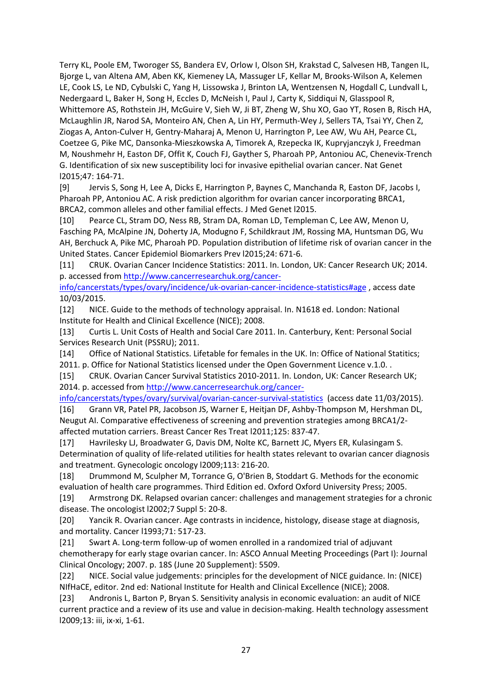Terry KL, Poole EM, Tworoger SS, Bandera EV, Orlow I, Olson SH, Krakstad C, Salvesen HB, Tangen IL, Bjorge L, van Altena AM, Aben KK, Kiemeney LA, Massuger LF, Kellar M, Brooks-Wilson A, Kelemen LE, Cook LS, Le ND, Cybulski C, Yang H, Lissowska J, Brinton LA, Wentzensen N, Hogdall C, Lundvall L, Nedergaard L, Baker H, Song H, Eccles D, McNeish I, Paul J, Carty K, Siddiqui N, Glasspool R, Whittemore AS, Rothstein JH, McGuire V, Sieh W, Ji BT, Zheng W, Shu XO, Gao YT, Rosen B, Risch HA, McLaughlin JR, Narod SA, Monteiro AN, Chen A, Lin HY, Permuth-Wey J, Sellers TA, Tsai YY, Chen Z, Ziogas A, Anton-Culver H, Gentry-Maharaj A, Menon U, Harrington P, Lee AW, Wu AH, Pearce CL, Coetzee G, Pike MC, Dansonka-Mieszkowska A, Timorek A, Rzepecka IK, Kupryjanczyk J, Freedman M, Noushmehr H, Easton DF, Offit K, Couch FJ, Gayther S, Pharoah PP, Antoniou AC, Chenevix-Trench G. Identification of six new susceptibility loci for invasive epithelial ovarian cancer. Nat Genet l2015;47: 164-71.

<span id="page-26-0"></span>[9] Jervis S, Song H, Lee A, Dicks E, Harrington P, Baynes C, Manchanda R, Easton DF, Jacobs I, Pharoah PP, Antoniou AC. A risk prediction algorithm for ovarian cancer incorporating BRCA1, BRCA2, common alleles and other familial effects. J Med Genet l2015.

<span id="page-26-1"></span>[10] Pearce CL, Stram DO, Ness RB, Stram DA, Roman LD, Templeman C, Lee AW, Menon U, Fasching PA, McAlpine JN, Doherty JA, Modugno F, Schildkraut JM, Rossing MA, Huntsman DG, Wu AH, Berchuck A, Pike MC, Pharoah PD. Population distribution of lifetime risk of ovarian cancer in the United States. Cancer Epidemiol Biomarkers Prev l2015;24: 671-6.

<span id="page-26-2"></span>[11] CRUK. Ovarian Cancer Incidence Statistics: 2011. In. London, UK: Cancer Research UK; 2014. p. accessed fro[m http://www.cancerresearchuk.org/cancer-](http://www.cancerresearchuk.org/cancer-info/cancerstats/types/ovary/incidence/uk-ovarian-cancer-incidence-statistics#age)

[info/cancerstats/types/ovary/incidence/uk-ovarian-cancer-incidence-statistics#age](http://www.cancerresearchuk.org/cancer-info/cancerstats/types/ovary/incidence/uk-ovarian-cancer-incidence-statistics#age) , access date 10/03/2015.

<span id="page-26-3"></span>[12] NICE. Guide to the methods of technology appraisal. In. N1618 ed. London: National Institute for Health and Clinical Excellence (NICE); 2008.

<span id="page-26-4"></span>[13] Curtis L. Unit Costs of Health and Social Care 2011. In. Canterbury, Kent: Personal Social Services Research Unit (PSSRU); 2011.

<span id="page-26-5"></span>[14] Office of National Statistics. Lifetable for females in the UK. In: Office of National Statitics; 2011. p. Office for National Statistics licensed under the Open Government Licence v.1.0. .

<span id="page-26-6"></span>[15] CRUK. Ovarian Cancer Survival Statistics 2010-2011. In. London, UK: Cancer Research UK; 2014. p. accessed from [http://www.cancerresearchuk.org/cancer-](http://www.cancerresearchuk.org/cancer-info/cancerstats/types/ovary/survival/ovarian-cancer-survival-statistics)

[info/cancerstats/types/ovary/survival/ovarian-cancer-survival-statistics](http://www.cancerresearchuk.org/cancer-info/cancerstats/types/ovary/survival/ovarian-cancer-survival-statistics) (access date 11/03/2015).

<span id="page-26-7"></span>[16] Grann VR, Patel PR, Jacobson JS, Warner E, Heitjan DF, Ashby-Thompson M, Hershman DL, Neugut AI. Comparative effectiveness of screening and prevention strategies among BRCA1/2 affected mutation carriers. Breast Cancer Res Treat l2011;125: 837-47.

<span id="page-26-8"></span>[17] Havrilesky LJ, Broadwater G, Davis DM, Nolte KC, Barnett JC, Myers ER, Kulasingam S. Determination of quality of life-related utilities for health states relevant to ovarian cancer diagnosis and treatment. Gynecologic oncology l2009;113: 216-20.

<span id="page-26-9"></span>[18] Drummond M, Sculpher M, Torrance G, O'Brien B, Stoddart G. Methods for the economic evaluation of health care programmes. Third Edition ed. Oxford Oxford University Press; 2005.

<span id="page-26-10"></span>[19] Armstrong DK. Relapsed ovarian cancer: challenges and management strategies for a chronic disease. The oncologist l2002;7 Suppl 5: 20-8.

<span id="page-26-11"></span>[20] Yancik R. Ovarian cancer. Age contrasts in incidence, histology, disease stage at diagnosis, and mortality. Cancer l1993;71: 517-23.

<span id="page-26-12"></span>[21] Swart A. Long-term follow-up of women enrolled in a randomized trial of adjuvant chemotherapy for early stage ovarian cancer. In: ASCO Annual Meeting Proceedings (Part I): Journal Clinical Oncology; 2007. p. 18S (June 20 Supplement): 5509.

<span id="page-26-13"></span>[22] NICE. Social value judgements: principles for the development of NICE guidance. In: (NICE) NIfHaCE, editor. 2nd ed: National Institute for Health and Clinical Excellence (NICE); 2008.

<span id="page-26-14"></span>[23] Andronis L, Barton P, Bryan S. Sensitivity analysis in economic evaluation: an audit of NICE current practice and a review of its use and value in decision-making. Health technology assessment l2009;13: iii, ix-xi, 1-61.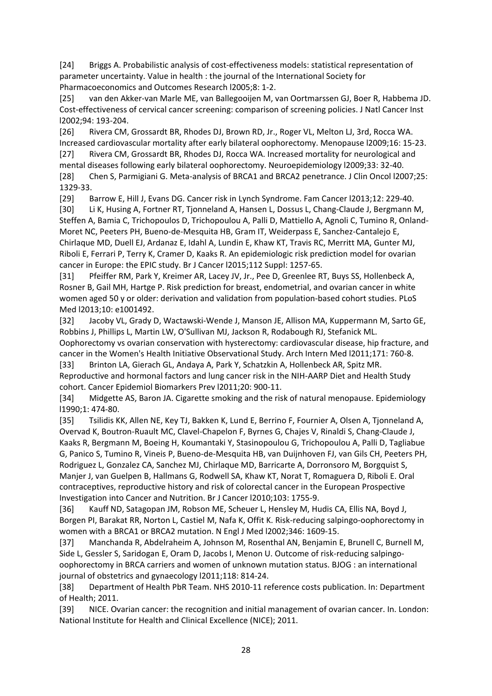<span id="page-27-0"></span>[24] Briggs A. Probabilistic analysis of cost-effectiveness models: statistical representation of parameter uncertainty. Value in health : the journal of the International Society for Pharmacoeconomics and Outcomes Research l2005;8: 1-2.

<span id="page-27-1"></span>[25] van den Akker-van Marle ME, van Ballegooijen M, van Oortmarssen GJ, Boer R, Habbema JD. Cost-effectiveness of cervical cancer screening: comparison of screening policies. J Natl Cancer Inst l2002;94: 193-204.

<span id="page-27-2"></span>[26] Rivera CM, Grossardt BR, Rhodes DJ, Brown RD, Jr., Roger VL, Melton LJ, 3rd, Rocca WA. Increased cardiovascular mortality after early bilateral oophorectomy. Menopause l2009;16: 15-23.

<span id="page-27-4"></span><span id="page-27-3"></span>[27] Rivera CM, Grossardt BR, Rhodes DJ, Rocca WA. Increased mortality for neurological and mental diseases following early bilateral oophorectomy. Neuroepidemiology l2009;33: 32-40. [28] Chen S, Parmigiani G. Meta-analysis of BRCA1 and BRCA2 penetrance. J Clin Oncol l2007;25: 1329-33.

<span id="page-27-5"></span>[29] Barrow E, Hill J, Evans DG. Cancer risk in Lynch Syndrome. Fam Cancer l2013;12: 229-40.

<span id="page-27-6"></span>[30] Li K, Husing A, Fortner RT, Tjonneland A, Hansen L, Dossus L, Chang-Claude J, Bergmann M, Steffen A, Bamia C, Trichopoulos D, Trichopoulou A, Palli D, Mattiello A, Agnoli C, Tumino R, Onland-Moret NC, Peeters PH, Bueno-de-Mesquita HB, Gram IT, Weiderpass E, Sanchez-Cantalejo E, Chirlaque MD, Duell EJ, Ardanaz E, Idahl A, Lundin E, Khaw KT, Travis RC, Merritt MA, Gunter MJ, Riboli E, Ferrari P, Terry K, Cramer D, Kaaks R. An epidemiologic risk prediction model for ovarian cancer in Europe: the EPIC study. Br J Cancer l2015;112 Suppl: 1257-65.

<span id="page-27-7"></span>[31] Pfeiffer RM, Park Y, Kreimer AR, Lacey JV, Jr., Pee D, Greenlee RT, Buys SS, Hollenbeck A, Rosner B, Gail MH, Hartge P. Risk prediction for breast, endometrial, and ovarian cancer in white women aged 50 y or older: derivation and validation from population-based cohort studies. PLoS Med l2013;10: e1001492.

<span id="page-27-8"></span>[32] Jacoby VL, Grady D, Wactawski-Wende J, Manson JE, Allison MA, Kuppermann M, Sarto GE, Robbins J, Phillips L, Martin LW, O'Sullivan MJ, Jackson R, Rodabough RJ, Stefanick ML. Oophorectomy vs ovarian conservation with hysterectomy: cardiovascular disease, hip fracture, and cancer in the Women's Health Initiative Observational Study. Arch Intern Med l2011;171: 760-8.

<span id="page-27-9"></span>[33] Brinton LA, Gierach GL, Andaya A, Park Y, Schatzkin A, Hollenbeck AR, Spitz MR. Reproductive and hormonal factors and lung cancer risk in the NIH-AARP Diet and Health Study cohort. Cancer Epidemiol Biomarkers Prev l2011;20: 900-11.

<span id="page-27-10"></span>[34] Midgette AS, Baron JA. Cigarette smoking and the risk of natural menopause. Epidemiology l1990;1: 474-80.

<span id="page-27-11"></span>[35] Tsilidis KK, Allen NE, Key TJ, Bakken K, Lund E, Berrino F, Fournier A, Olsen A, Tjonneland A, Overvad K, Boutron-Ruault MC, Clavel-Chapelon F, Byrnes G, Chajes V, Rinaldi S, Chang-Claude J, Kaaks R, Bergmann M, Boeing H, Koumantaki Y, Stasinopoulou G, Trichopoulou A, Palli D, Tagliabue G, Panico S, Tumino R, Vineis P, Bueno-de-Mesquita HB, van Duijnhoven FJ, van Gils CH, Peeters PH, Rodriguez L, Gonzalez CA, Sanchez MJ, Chirlaque MD, Barricarte A, Dorronsoro M, Borgquist S, Manjer J, van Guelpen B, Hallmans G, Rodwell SA, Khaw KT, Norat T, Romaguera D, Riboli E. Oral contraceptives, reproductive history and risk of colorectal cancer in the European Prospective Investigation into Cancer and Nutrition. Br J Cancer l2010;103: 1755-9.

<span id="page-27-12"></span>[36] Kauff ND, Satagopan JM, Robson ME, Scheuer L, Hensley M, Hudis CA, Ellis NA, Boyd J, Borgen PI, Barakat RR, Norton L, Castiel M, Nafa K, Offit K. Risk-reducing salpingo-oophorectomy in women with a BRCA1 or BRCA2 mutation. N Engl J Med l2002;346: 1609-15.

<span id="page-27-13"></span>[37] Manchanda R, Abdelraheim A, Johnson M, Rosenthal AN, Benjamin E, Brunell C, Burnell M, Side L, Gessler S, Saridogan E, Oram D, Jacobs I, Menon U. Outcome of risk-reducing salpingooophorectomy in BRCA carriers and women of unknown mutation status. BJOG : an international journal of obstetrics and gynaecology l2011;118: 814-24.

<span id="page-27-14"></span>[38] Department of Health PbR Team. NHS 2010-11 reference costs publication. In: Department of Health; 2011.

<span id="page-27-15"></span>[39] NICE. Ovarian cancer: the recognition and initial management of ovarian cancer. In. London: National Institute for Health and Clinical Excellence (NICE); 2011.